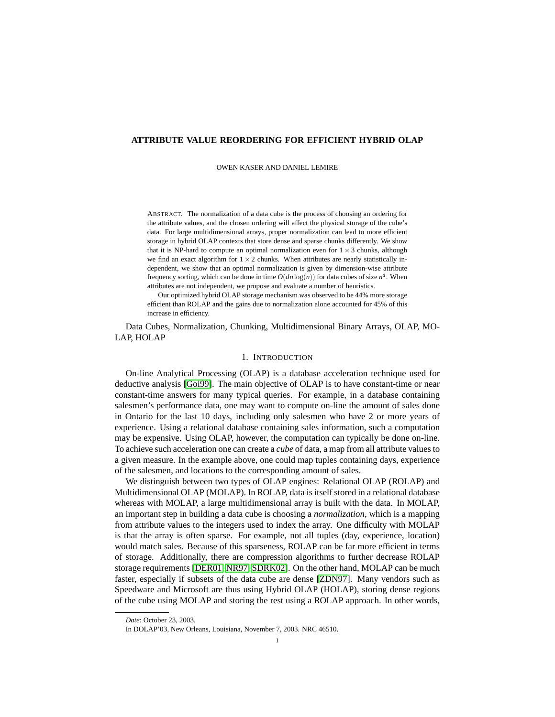## **ATTRIBUTE VALUE REORDERING FOR EFFICIENT HYBRID OLAP**

OWEN KASER AND DANIEL LEMIRE

ABSTRACT. The normalization of a data cube is the process of choosing an ordering for the attribute values, and the chosen ordering will affect the physical storage of the cube's data. For large multidimensional arrays, proper normalization can lead to more efficient storage in hybrid OLAP contexts that store dense and sparse chunks differently. We show that it is NP-hard to compute an optimal normalization even for  $1 \times 3$  chunks, although we find an exact algorithm for  $1 \times 2$  chunks. When attributes are nearly statistically independent, we show that an optimal normalization is given by dimension-wise attribute frequency sorting, which can be done in time  $O(dn \log(n))$  for data cubes of size  $n^d$ . When attributes are not independent, we propose and evaluate a number of heuristics.

Our optimized hybrid OLAP storage mechanism was observed to be 44% more storage efficient than ROLAP and the gains due to normalization alone accounted for 45% of this increase in efficiency.

Data Cubes, Normalization, Chunking, Multidimensional Binary Arrays, OLAP, MO-LAP, HOLAP

# 1. INTRODUCTION

On-line Analytical Processing (OLAP) is a database acceleration technique used for deductive analysis [\[Goi99\]](#page-13-0). The main objective of OLAP is to have constant-time or near constant-time answers for many typical queries. For example, in a database containing salesmen's performance data, one may want to compute on-line the amount of sales done in Ontario for the last 10 days, including only salesmen who have 2 or more years of experience. Using a relational database containing sales information, such a computation may be expensive. Using OLAP, however, the computation can typically be done on-line. To achieve such acceleration one can create a *cube* of data, a map from all attribute values to a given measure. In the example above, one could map tuples containing days, experience of the salesmen, and locations to the corresponding amount of sales.

We distinguish between two types of OLAP engines: Relational OLAP (ROLAP) and Multidimensional OLAP (MOLAP). In ROLAP, data is itself stored in a relational database whereas with MOLAP, a large multidimensional array is built with the data. In MOLAP, an important step in building a data cube is choosing a *normalization*, which is a mapping from attribute values to the integers used to index the array. One difficulty with MOLAP is that the array is often sparse. For example, not all tuples (day, experience, location) would match sales. Because of this sparseness, ROLAP can be far more efficient in terms of storage. Additionally, there are compression algorithms to further decrease ROLAP storage requirements [\[DER01,](#page-13-1) [NR97,](#page-13-2) [SDRK02\]](#page-13-3). On the other hand, MOLAP can be much faster, especially if subsets of the data cube are dense [\[ZDN97\]](#page-13-4). Many vendors such as Speedware and Microsoft are thus using Hybrid OLAP (HOLAP), storing dense regions of the cube using MOLAP and storing the rest using a ROLAP approach. In other words,

*Date*: October 23, 2003.

In DOLAP'03, New Orleans, Louisiana, November 7, 2003. NRC 46510.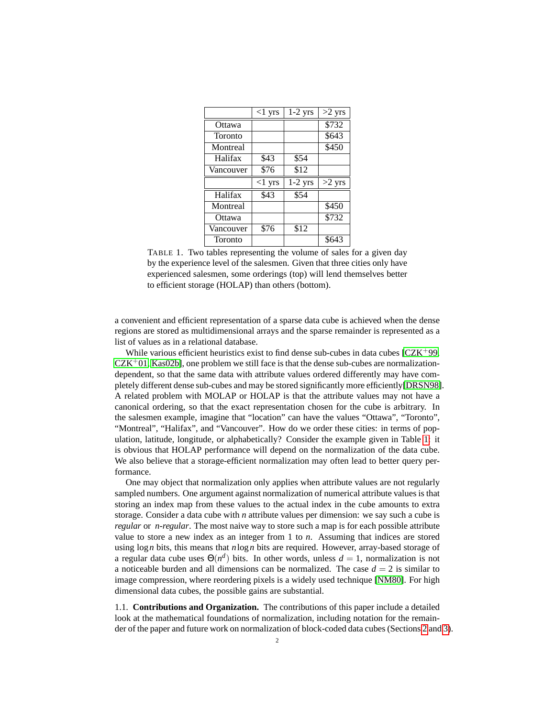|           | $<1$ yrs | $1-2$ yrs | $>2$ yrs          |
|-----------|----------|-----------|-------------------|
| Ottawa    |          |           | \$732             |
| Toronto   |          |           | \$643             |
| Montreal  |          |           | \$450             |
| Halifax   | \$43     | \$54      |                   |
| Vancouver | \$76     | \$12      |                   |
|           |          |           |                   |
|           | $<1$ yrs | $1-2$ yrs | $>2~\mathrm{yrs}$ |
| Halifax   | \$43     | \$54      |                   |
| Montreal  |          |           | \$450             |
| Ottawa    |          |           | \$732             |
| Vancouver | \$76     | \$12      |                   |

<span id="page-1-0"></span>TABLE 1. Two tables representing the volume of sales for a given day by the experience level of the salesmen. Given that three cities only have experienced salesmen, some orderings (top) will lend themselves better to efficient storage (HOLAP) than others (bottom).

a convenient and efficient representation of a sparse data cube is achieved when the dense regions are stored as multidimensional arrays and the sparse remainder is represented as a list of values as in a relational database.

While various efficient heuristics exist to find dense sub-cubes in data cubes  $[CZK^+99,$  $[CZK^+99,$  $CZK<sup>+</sup>01$  $CZK<sup>+</sup>01$ , [Kas02b\]](#page-13-7), one problem we still face is that the dense sub-cubes are normalizationdependent, so that the same data with attribute values ordered differently may have completely different dense sub-cubes and may be stored significantly more efficiently[\[DRSN98\]](#page-13-8). A related problem with MOLAP or HOLAP is that the attribute values may not have a canonical ordering, so that the exact representation chosen for the cube is arbitrary. In the salesmen example, imagine that "location" can have the values "Ottawa", "Toronto", "Montreal", "Halifax", and "Vancouver". How do we order these cities: in terms of population, latitude, longitude, or alphabetically? Consider the example given in Table [1:](#page-1-0) it is obvious that HOLAP performance will depend on the normalization of the data cube. We also believe that a storage-efficient normalization may often lead to better query performance.

One may object that normalization only applies when attribute values are not regularly sampled numbers. One argument against normalization of numerical attribute values is that storing an index map from these values to the actual index in the cube amounts to extra storage. Consider a data cube with *n* attribute values per dimension: we say such a cube is *regular* or *n-regular*. The most naive way to store such a map is for each possible attribute value to store a new index as an integer from 1 to *n*. Assuming that indices are stored using log*n* bits, this means that *n*log*n* bits are required. However, array-based storage of a regular data cube uses  $\Theta(n^d)$  bits. In other words, unless  $d = 1$ , normalization is not a noticeable burden and all dimensions can be normalized. The case  $d = 2$  is similar to image compression, where reordering pixels is a widely used technique [\[NM80\]](#page-13-9). For high dimensional data cubes, the possible gains are substantial.

1.1. **Contributions and Organization.** The contributions of this paper include a detailed look at the mathematical foundations of normalization, including notation for the remainder of the paper and future work on normalization of block-coded data cubes (Sections [2](#page-2-0) and [3\)](#page-3-0).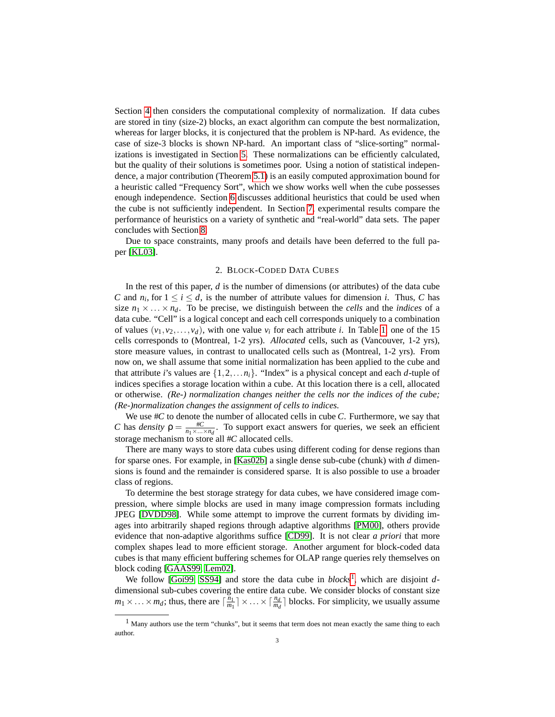Section [4](#page-5-0) then considers the computational complexity of normalization. If data cubes are stored in tiny (size-2) blocks, an exact algorithm can compute the best normalization, whereas for larger blocks, it is conjectured that the problem is NP-hard. As evidence, the case of size-3 blocks is shown NP-hard. An important class of "slice-sorting" normalizations is investigated in Section [5.](#page-6-0) These normalizations can be efficiently calculated, but the quality of their solutions is sometimes poor. Using a notion of statistical independence, a major contribution (Theorem [5.1\)](#page-8-0) is an easily computed approximation bound for a heuristic called "Frequency Sort", which we show works well when the cube possesses enough independence. Section [6](#page-8-1) discusses additional heuristics that could be used when the cube is not sufficiently independent. In Section [7,](#page-11-0) experimental results compare the performance of heuristics on a variety of synthetic and "real-world" data sets. The paper concludes with Section [8.](#page-12-0)

Due to space constraints, many proofs and details have been deferred to the full paper [\[KL03\]](#page-13-10).

### 2. BLOCK-CODED DATA CUBES

<span id="page-2-0"></span>In the rest of this paper, *d* is the number of dimensions (or attributes) of the data cube *C* and  $n_i$ , for  $1 \le i \le d$ , is the number of attribute values for dimension *i*. Thus, *C* has size  $n_1 \times \ldots \times n_d$ . To be precise, we distinguish between the *cells* and the *indices* of a data cube. "Cell" is a logical concept and each cell corresponds uniquely to a combination of values  $(v_1, v_2, \ldots, v_d)$ , with one value  $v_i$  for each attribute *i*. In Table [1,](#page-1-0) one of the 15 cells corresponds to (Montreal, 1-2 yrs). *Allocated* cells, such as (Vancouver, 1-2 yrs), store measure values, in contrast to unallocated cells such as (Montreal, 1-2 yrs). From now on, we shall assume that some initial normalization has been applied to the cube and that attribute *i*'s values are  $\{1, 2, \ldots n_i\}$ . "Index" is a physical concept and each *d*-tuple of indices specifies a storage location within a cube. At this location there is a cell, allocated or otherwise. *(Re-) normalization changes neither the cells nor the indices of the cube; (Re-)normalization changes the assignment of cells to indices.*

We use #*C* to denote the number of allocated cells in cube *C*. Furthermore, we say that *C* has *density*  $\rho = \frac{\#C}{n_1 \times ... \times n_d}$ . To support exact answers for queries, we seek an efficient storage mechanism to store all #*C* allocated cells.

There are many ways to store data cubes using different coding for dense regions than for sparse ones. For example, in [\[Kas02b\]](#page-13-7) a single dense sub-cube (chunk) with *d* dimensions is found and the remainder is considered sparse. It is also possible to use a broader class of regions.

To determine the best storage strategy for data cubes, we have considered image compression, where simple blocks are used in many image compression formats including JPEG [\[DVDD98\]](#page-13-11). While some attempt to improve the current formats by dividing images into arbitrarily shaped regions through adaptive algorithms [\[PM00\]](#page-13-12), others provide evidence that non-adaptive algorithms suffice [\[CD99\]](#page-13-13). It is not clear *a priori* that more complex shapes lead to more efficient storage. Another argument for block-coded data cubes is that many efficient buffering schemes for OLAP range queries rely themselves on block coding [\[GAAS99,](#page-13-14) [Lem02\]](#page-13-15).

We follow [\[Goi99,](#page-13-0) [SS94\]](#page-13-16) and store the data cube in *blocks*<sup>[1](#page-2-1)</sup>, which are disjoint ddimensional sub-cubes covering the entire data cube. We consider blocks of constant size  $m_1 \times \ldots \times m_d$ ; thus, there are  $\lceil \frac{n_1}{m_1} \rceil \times \ldots \times \lceil \frac{n_d}{m_d} \rceil$  blocks. For simplicity, we usually assume

<span id="page-2-1"></span><sup>&</sup>lt;sup>1</sup> Many authors use the term "chunks", but it seems that term does not mean exactly the same thing to each author.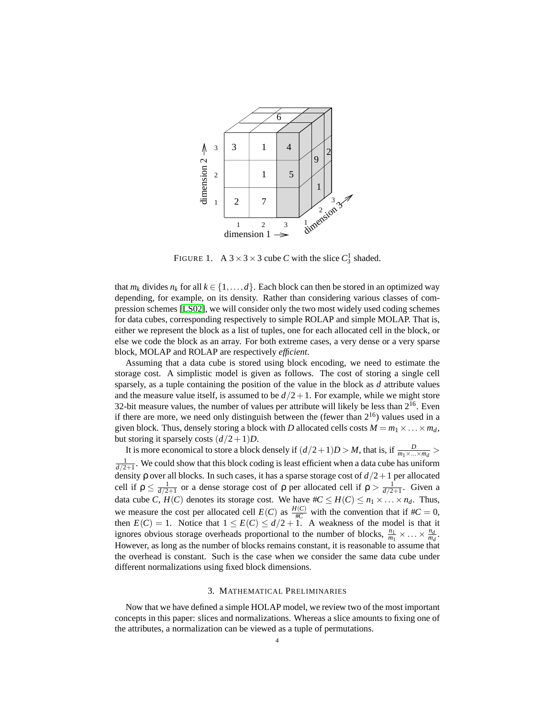

<span id="page-3-1"></span>FIGURE 1. A  $3 \times 3 \times 3$  cube *C* with the slice  $C_3^1$  shaded.

that  $m_k$  divides  $n_k$  for all  $k \in \{1, ..., d\}$ . Each block can then be stored in an optimized way depending, for example, on its density. Rather than considering various classes of compression schemes [\[LS02\]](#page-13-17), we will consider only the two most widely used coding schemes for data cubes, corresponding respectively to simple ROLAP and simple MOLAP. That is, either we represent the block as a list of tuples, one for each allocated cell in the block, or else we code the block as an array. For both extreme cases, a very dense or a very sparse block, MOLAP and ROLAP are respectively *efficient*.

Assuming that a data cube is stored using block encoding, we need to estimate the storage cost. A simplistic model is given as follows. The cost of storing a single cell sparsely, as a tuple containing the position of the value in the block as *d* attribute values and the measure value itself, is assumed to be  $d/2+1$ . For example, while we might store 32-bit measure values, the number of values per attribute will likely be less than  $2^{16}$ . Even if there are more, we need only distinguish between the (fewer than  $2^{16}$ ) values used in a given block. Thus, densely storing a block with *D* allocated cells costs  $M = m_1 \times \ldots \times m_d$ , but storing it sparsely costs  $(d/2+1)D$ .

It is more economical to store a block densely if  $(d/2+1)D > M$ , that is, if  $\frac{D}{m_1 \times ... \times m_d}$  $\frac{1}{d/2+1}$ . We could show that this block coding is least efficient when a data cube has uniform density ρ over all blocks. In such cases, it has a sparse storage cost of *d*/2+1 per allocated cell if  $\rho \leq \frac{1}{d/2+1}$  or a dense storage cost of  $\rho$  per allocated cell if  $\rho > \frac{1}{d/2+1}$ . Given a data cube *C*,  $H(C)$  denotes its storage cost. We have  $\#C \leq H(C) \leq n_1 \times \ldots \times n_d$ . Thus, we measure the cost per allocated cell  $E(C)$  as  $\frac{H(C)}{\#C}$  with the convention that if  $\#C = 0$ , then  $E(C) = 1$ . Notice that  $1 \le E(C) \le d/2 + 1$ . A weakness of the model is that it ignores obvious storage overheads proportional to the number of blocks,  $\frac{n_1}{m_1} \times \ldots \times \frac{n_d}{m_d}$  $\frac{n_d}{m_d}$ . However, as long as the number of blocks remains constant, it is reasonable to assume that the overhead is constant. Such is the case when we consider the same data cube under different normalizations using fixed block dimensions.

### 3. MATHEMATICAL PRELIMINARIES

<span id="page-3-0"></span>Now that we have defined a simple HOLAP model, we review two of the most important concepts in this paper: slices and normalizations. Whereas a slice amounts to fixing one of the attributes, a normalization can be viewed as a tuple of permutations.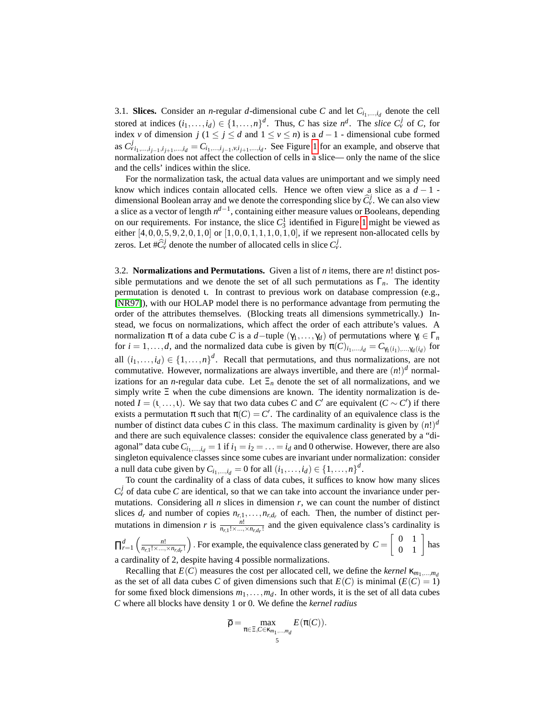3.1. **Slices.** Consider an *n*-regular *d*-dimensional cube *C* and let  $C_{i_1,\dots,i_d}$  denote the cell stored at indices  $(i_1, \ldots, i_d) \in \{1, \ldots, n\}^d$ . Thus, *C* has size  $n^d$ . The *slice*  $C_v^j$  of *C*, for index *v* of dimension *j* (1 ≤ *j* ≤ *d* and  $1 \le v \le n$ ) is a *d* − 1 - dimensional cube formed as  $C_{\nu i_1,\dots,i_{j-1},i_{j+1},\dots,i_d}^j = C_{i_1,\dots,i_{j-1},\nu,i_{j+1},\dots,i_d}$ . See Figure [1](#page-3-1) for an example, and observe that normalization does not affect the collection of cells in a slice— only the name of the slice and the cells' indices within the slice.

For the normalization task, the actual data values are unimportant and we simply need know which indices contain allocated cells. Hence we often view a slice as a  $d-1$ dimensional Boolean array and we denote the corresponding slice by  $\hat{C}^j_\nu$ . We can also view a slice as a vector of length  $n^{d-1}$ , containing either measure values or Booleans, depending on our requirements. For instance, the slice  $C_3^1$  identified in Figure [1](#page-3-1) might be viewed as either  $[4,0,0,5,9,2,0,1,0]$  or  $[1,0,0,1,1,1,0,1,0]$ , if we represent non-allocated cells by zeros. Let  $\#\widehat{C}_{\nu}^{j}$  denote the number of allocated cells in slice  $C_{\nu}^{j}$ .

3.2. **Normalizations and Permutations.** Given a list of *n* items, there are *n*! distinct possible permutations and we denote the set of all such permutations as  $\Gamma_n$ . The identity permutation is denoted ι. In contrast to previous work on database compression (e.g., [\[NR97\]](#page-13-2)), with our HOLAP model there is no performance advantage from permuting the order of the attributes themselves. (Blocking treats all dimensions symmetrically.) Instead, we focus on normalizations, which affect the order of each attribute's values. A normalization π of a data cube *C* is a *d*−tuple  $(\gamma_1, ..., \gamma_d)$  of permutations where  $\gamma_i \in \Gamma_n$ for  $i = 1, ..., d$ , and the normalized data cube is given by  $\pi(C)_{i_1,...,i_d} = C_{\gamma_1(i_1),..., \gamma_d(i_d)}$  for all  $(i_1,...,i_d) \in \{1,...,n\}^d$ . Recall that permutations, and thus normalizations, are not commutative. However, normalizations are always invertible, and there are  $(n!)^d$  normalizations for an *n*-regular data cube. Let  $\Xi_n$  denote the set of all normalizations, and we simply write Ξ when the cube dimensions are known. The identity normalization is denoted  $I = (1, \ldots, 1)$ . We say that two data cubes *C* and *C'* are equivalent ( $C \sim C'$ ) if there exists a permutation  $\pi$  such that  $\pi(C) = C'$ . The cardinality of an equivalence class is the number of distinct data cubes *C* in this class. The maximum cardinality is given by  $(n!)^d$ and there are such equivalence classes: consider the equivalence class generated by a "diagonal" data cube  $C_{i_1,\dots,i_d} = 1$  if  $i_1 = i_2 = \dots = i_d$  and 0 otherwise. However, there are also singleton equivalence classes since some cubes are invariant under normalization: consider a null data cube given by  $C_{i_1,\dots,i_d} = 0$  for all  $(i_1,\dots,i_d) \in \{1,\dots,n\}^d$ .

To count the cardinality of a class of data cubes, it suffices to know how many slices  $C_v^j$  of data cube *C* are identical, so that we can take into account the invariance under permutations. Considering all *n* slices in dimension *r*, we can count the number of distinct slices  $d_r$  and number of copies  $n_{r,1}, \ldots, n_{r,d_r}$  of each. Then, the number of distinct permutations in dimension *r* is  $\frac{n!}{n_{r,1}! \times ... \times n_{r,dr}!}$  and the given equivalence class's cardinality is

 $\prod_{r=1}^d \left( \frac{n!}{n_{r,1}! \times \ldots \times n_{r,d_r}!} \right)$ . For example, the equivalence class generated by  $C = \begin{bmatrix} 0 & 1 \\ 0 & 1 \end{bmatrix}$  has a cardinality of 2, despite having 4 possible normalizations.

Recalling that  $E(C)$  measures the cost per allocated cell, we define the *kernel*  $\kappa_{m_1,...,m_d}$ as the set of all data cubes *C* of given dimensions such that  $E(C)$  is minimal  $(E(C) = 1)$ for some fixed block dimensions  $m_1, \ldots, m_d$ . In other words, it is the set of all data cubes *C* where all blocks have density 1 or 0. We define the *kernel radius*

$$
\overline{\rho} = \max_{\pi \in \Xi, C \in \kappa_{m_1,\dots,m_d}} E(\pi(C)).
$$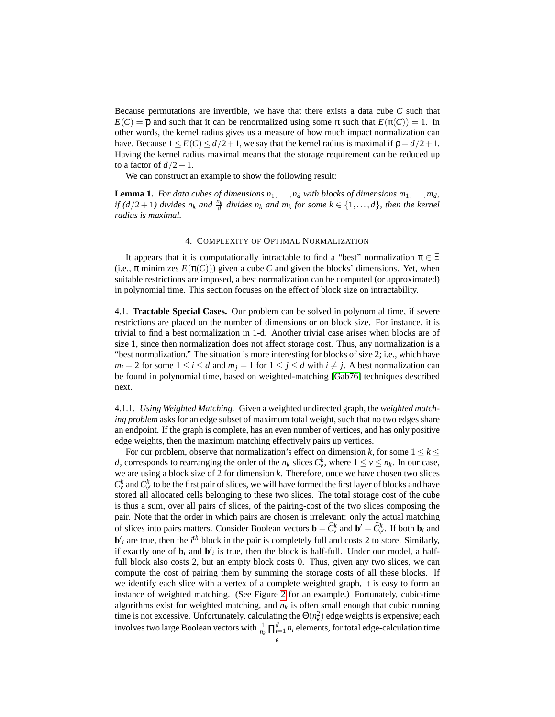Because permutations are invertible, we have that there exists a data cube *C* such that  $E(C) = \overline{\rho}$  and such that it can be renormalized using some  $\pi$  such that  $E(\pi(C)) = 1$ . In other words, the kernel radius gives us a measure of how much impact normalization can have. Because  $1 \leq E(C) \leq d/2+1$ , we say that the kernel radius is maximal if  $\overline{p} = d/2+1$ . Having the kernel radius maximal means that the storage requirement can be reduced up to a factor of  $d/2+1$ .

We can construct an example to show the following result:

**Lemma 1.** For data cubes of dimensions  $n_1, \ldots, n_d$  with blocks of dimensions  $m_1, \ldots, m_d$ , *if*  $(d/2+1)$  divides  $n_k$  and  $\frac{n_k}{d}$  divides  $n_k$  and  $m_k$  for some  $k \in \{1, ..., d\}$ , then the kernel *radius is maximal.*

### 4. COMPLEXITY OF OPTIMAL NORMALIZATION

<span id="page-5-0"></span>It appears that it is computationally intractable to find a "best" normalization  $\pi \in \Xi$ (i.e.,  $\pi$  minimizes  $E(\pi(C))$ ) given a cube C and given the blocks' dimensions. Yet, when suitable restrictions are imposed, a best normalization can be computed (or approximated) in polynomial time. This section focuses on the effect of block size on intractability.

4.1. **Tractable Special Cases.** Our problem can be solved in polynomial time, if severe restrictions are placed on the number of dimensions or on block size. For instance, it is trivial to find a best normalization in 1-d. Another trivial case arises when blocks are of size 1, since then normalization does not affect storage cost. Thus, any normalization is a "best normalization." The situation is more interesting for blocks of size 2; i.e., which have  $m_i = 2$  for some  $1 \le i \le d$  and  $m_j = 1$  for  $1 \le j \le d$  with  $i \ne j$ . A best normalization can be found in polynomial time, based on weighted-matching [\[Gab76\]](#page-13-18) techniques described next.

<span id="page-5-1"></span>4.1.1. *Using Weighted Matching.* Given a weighted undirected graph, the *weighted matching problem* asks for an edge subset of maximum total weight, such that no two edges share an endpoint. If the graph is complete, has an even number of vertices, and has only positive edge weights, then the maximum matching effectively pairs up vertices.

For our problem, observe that normalization's effect on dimension *k*, for some  $1 \leq k \leq$ *d*, corresponds to rearranging the order of the *n<sub>k</sub>* slices  $C_v^k$ , where  $1 \le v \le n_k$ . In our case, we are using a block size of 2 for dimension *k*. Therefore, once we have chosen two slices  $C_v^k$  and  $C_{v'}^k$  to be the first pair of slices, we will have formed the first layer of blocks and have stored all allocated cells belonging to these two slices. The total storage cost of the cube is thus a sum, over all pairs of slices, of the pairing-cost of the two slices composing the pair. Note that the order in which pairs are chosen is irrelevant: only the actual matching of slices into pairs matters. Consider Boolean vectors  $\mathbf{b} = \hat{C}_{\nu}^{k}$  and  $\mathbf{b}' = \hat{C}_{\nu'}^{k}$ . If both  $\mathbf{b}_i$  and  **are true, then the**  $i<sup>th</sup>$  **block in the pair is completely full and costs 2 to store. Similarly,** if exactly one of  $\mathbf{b}_i$  and  $\mathbf{b'}_i$  is true, then the block is half-full. Under our model, a halffull block also costs 2, but an empty block costs 0. Thus, given any two slices, we can compute the cost of pairing them by summing the storage costs of all these blocks. If we identify each slice with a vertex of a complete weighted graph, it is easy to form an instance of weighted matching. (See Figure [2](#page-6-1) for an example.) Fortunately, cubic-time algorithms exist for weighted matching, and  $n_k$  is often small enough that cubic running time is not excessive. Unfortunately, calculating the  $\Theta(n_k^2)$  edge weights is expensive; each involves two large Boolean vectors with  $\frac{1}{n_k} \prod_{i=1}^d n_i$  elements, for total edge-calculation time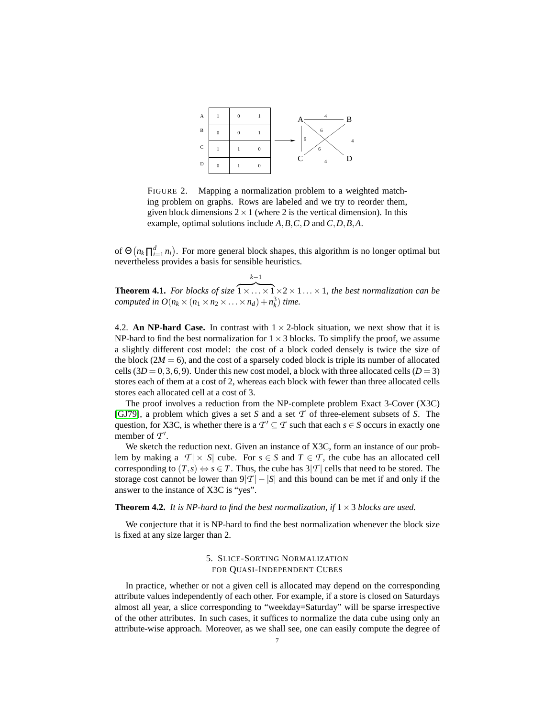

<span id="page-6-1"></span>FIGURE 2. Mapping a normalization problem to a weighted matching problem on graphs. Rows are labeled and we try to reorder them, given block dimensions  $2 \times 1$  (where 2 is the vertical dimension). In this example, optimal solutions include *A*,*B*,*C*,*D* and *C*,*D*,*B*,*A*.

of  $\Theta(n_k \prod_{i=1}^d n_i)$ . For more general block shapes, this algorithm is no longer optimal but nevertheless provides a basis for sensible heuristics.

**Theorem 4.1.** *For blocks of size*  $\overline{1 \times \ldots \times 1} \times 2 \times 1 \ldots \times 1$ , the best normalization can be *computed in*  $O(n_k \times (n_1 \times n_2 \times \ldots \times n_d) + n_k^3)$  *time.* 

*k*−1

4.2. **An NP-hard Case.** In contrast with  $1 \times 2$ -block situation, we next show that it is NP-hard to find the best normalization for  $1 \times 3$  blocks. To simplify the proof, we assume a slightly different cost model: the cost of a block coded densely is twice the size of the block  $(2M = 6)$ , and the cost of a sparsely coded block is triple its number of allocated cells  $(3D = 0, 3, 6, 9)$ . Under this new cost model, a block with three allocated cells  $(D = 3)$ stores each of them at a cost of 2, whereas each block with fewer than three allocated cells stores each allocated cell at a cost of 3.

The proof involves a reduction from the NP-complete problem Exact 3-Cover (X3C) [\[GJ79\]](#page-13-19), a problem which gives a set *S* and a set *T* of three-element subsets of *S*. The question, for X3C, is whether there is a  $\mathcal{T}' \subseteq \mathcal{T}$  such that each  $s \in \mathcal{S}$  occurs in exactly one member of  $T'$ .

We sketch the reduction next. Given an instance of X3C, form an instance of our problem by making a  $|T| \times |S|$  cube. For  $s \in S$  and  $T \in T$ , the cube has an allocated cell corresponding to  $(T, s) \Leftrightarrow s \in T$ . Thus, the cube has  $3|T|$  cells that need to be stored. The storage cost cannot be lower than  $9|T| - |S|$  and this bound can be met if and only if the answer to the instance of X3C is "yes".

**Theorem 4.2.** *It is NP-hard to find the best normalization, if*  $1 \times 3$  *blocks are used.* 

We conjecture that it is NP-hard to find the best normalization whenever the block size is fixed at any size larger than 2.

## 5. SLICE-SORTING NORMALIZATION FOR QUASI-INDEPENDENT CUBES

<span id="page-6-0"></span>In practice, whether or not a given cell is allocated may depend on the corresponding attribute values independently of each other. For example, if a store is closed on Saturdays almost all year, a slice corresponding to "weekday=Saturday" will be sparse irrespective of the other attributes. In such cases, it suffices to normalize the data cube using only an attribute-wise approach. Moreover, as we shall see, one can easily compute the degree of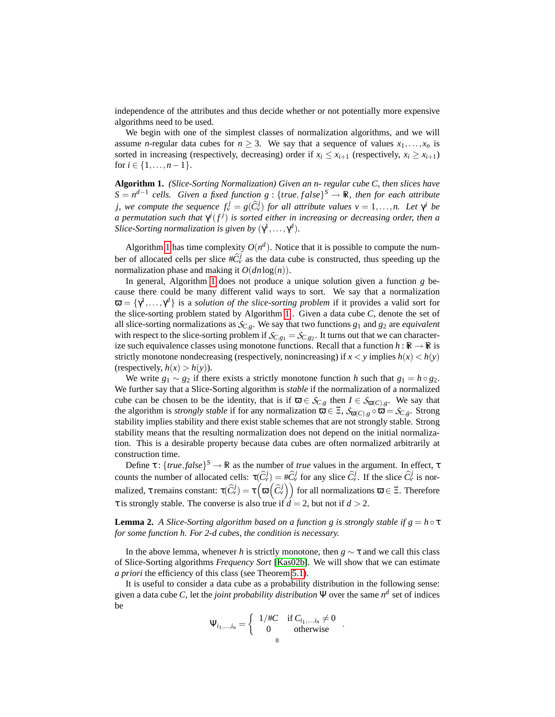independence of the attributes and thus decide whether or not potentially more expensive algorithms need to be used.

We begin with one of the simplest classes of normalization algorithms, and we will assume *n*-regular data cubes for  $n \geq 3$ . We say that a sequence of values  $x_1, \ldots, x_n$  is sorted in increasing (respectively, decreasing) order if  $x_i \le x_{i+1}$  (respectively,  $x_i \ge x_{i+1}$ ) for  $i \in \{1, ..., n-1\}$ .

<span id="page-7-0"></span>**Algorithm 1.** *(Slice-Sorting Normalization) Given an n- regular cube C, then slices have*  $S = n^{d-1}$  cells. Given a fixed function  $g : \{true, false\}^S \rightarrow \mathbb{R}$ , then for each attribute *j,* we compute the sequence  $f_v^j = g(\widehat{C}_v^j)$  for all attribute values  $v = 1, ..., n$ . Let  $\gamma^j$  be *a permutation such that*  $\gamma^{j}(f^{j})$  *is sorted either in increasing or decreasing order, then a Slice-Sorting normalization is given by*  $(\gamma^1, \ldots, \gamma^d)$ *.* 

Algorithm [1](#page-7-0) has time complexity  $O(n^d)$ . Notice that it is possible to compute the number of allocated cells per slice  $\#\widehat{C}_{\nu}^{j}$  as the data cube is constructed, thus speeding up the normalization phase and making it  $O(dn \log(n))$ .

In general, Algorithm [1](#page-7-0) does not produce a unique solution given a function *g* because there could be many different valid ways to sort. We say that a normalization  $\mathbf{\overline{\omega}} = {\gamma^1, \ldots, \gamma^d}$  is a *solution of the slice-sorting problem* if it provides a valid sort for the slice-sorting problem stated by Algorithm [1](#page-7-0) . Given a data cube *C*, denote the set of all slice-sorting normalizations as  $S_{C,g}$ . We say that two functions  $g_1$  and  $g_2$  are *equivalent* with respect to the slice-sorting problem if  $S_{C, g_1} = S_{C, g_2}$ . It turns out that we can characterize such equivalence classes using monotone functions. Recall that a function  $h : \mathbb{R} \to \mathbb{R}$  is strictly monotone nondecreasing (respectively, nonincreasing) if  $x < y$  implies  $h(x) < h(y)$ (respectively,  $h(x) > h(y)$ ).

We write  $g_1 \sim g_2$  if there exists a strictly monotone function *h* such that  $g_1 = h \circ g_2$ . We further say that a Slice-Sorting algorithm is *stable* if the normalization of a normalized cube can be chosen to be the identity, that is if  $\overline{\omega} \in S_{C,g}$  then  $I \in S_{\overline{\omega}(C),g}$ . We say that the algorithm is *strongly stable* if for any normalization  $\overline{\omega} \in \Xi$ ,  $S_{\overline{\omega}(C),g} \circ \overline{\omega} = S_{C,g}$ . Strong stability implies stability and there exist stable schemes that are not strongly stable. Strong stability means that the resulting normalization does not depend on the initial normalization. This is a desirable property because data cubes are often normalized arbitrarily at construction time.

Define  $\tau$ : {*true*,*false*}<sup>S</sup>  $\rightarrow \mathbb{R}$  as the number of *true* values in the argument. In effect,  $\tau$ counts the number of allocated cells:  $\tau(\hat{C}^j_\nu) = \#\hat{C}^j_\nu$  for any slice  $\hat{C}^j_\nu$ . If the slice  $\hat{C}^j_\nu$  is normalized, τ remains constant:  $\tau(\widehat{C}_v^j)=\tau\left(\overline{\omega}\left(\widehat{C}_v^j\right)\right)$  for all normalizations  $\overline{\omega}\in\Xi.$  Therefore  $\tau$  is strongly stable. The converse is also true if  $d = 2$ , but not if  $d > 2$ .

**Lemma 2.** *A Slice-Sorting algorithm based on a function g is strongly stable if*  $g = h \circ \tau$ *for some function h. For 2-d cubes, the condition is necessary.*

In the above lemma, whenever *h* is strictly monotone, then  $g \sim \tau$  and we call this class of Slice-Sorting algorithms *Frequency Sort* [\[Kas02b\]](#page-13-7). We will show that we can estimate *a priori* the efficiency of this class (see Theorem [5.1\)](#page-8-0).

It is useful to consider a data cube as a probability distribution in the following sense: given a data cube *C*, let the *joint probability distribution*  $\Psi$  over the same  $n^d$  set of indices be

$$
\Psi_{i_1,\dots,i_n} = \left\{ \begin{array}{cc} 1/\#C & \text{if } C_{i_1,\dots,i_n} \neq 0 \\ 0 & \text{otherwise} \end{array} \right. .
$$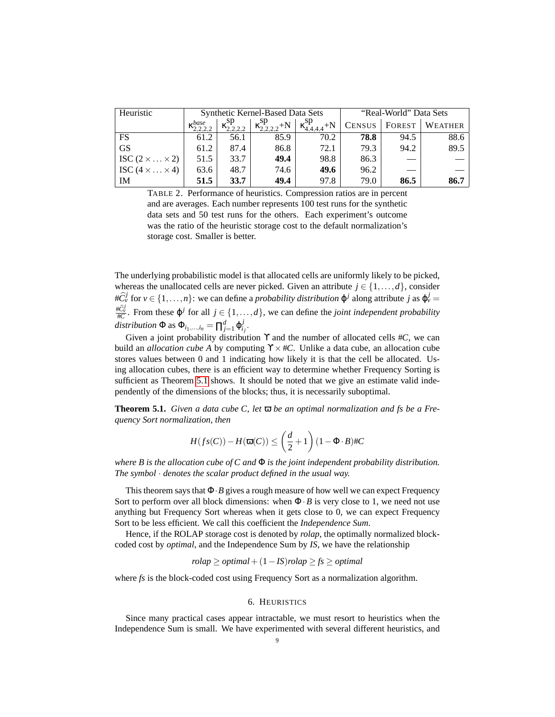| Heuristic                  | Synthetic Kernel-Based Data Sets |                       |                                                                             |      | "Real-World" Data Sets |      |                                  |
|----------------------------|----------------------------------|-----------------------|-----------------------------------------------------------------------------|------|------------------------|------|----------------------------------|
|                            | $\lambda$ base                   | $\kappa_{2,2,2}^{sp}$ | $\left[\kappa_{2,2,2,2}^{\rm sp} + N \right] \kappa_{4,4,4,4}^{\rm sp} + N$ |      |                        |      | <b>CENSUS</b>   FOREST   WEATHER |
| FS                         | 61.2                             | 56.1                  | 85.9                                                                        | 70.2 | 78.8                   | 94.5 | 88.6                             |
| <b>GS</b>                  | 61.2                             | 87.4                  | 86.8                                                                        | 72.1 | 79.3                   | 94.2 | 89.5                             |
| ISC $(2 \times  \times 2)$ | 51.5                             | 33.7                  | 49.4                                                                        | 98.8 | 86.3                   |      |                                  |
| ISC $(4 \times  \times 4)$ | 63.6                             | 48.7                  | 74.6                                                                        | 49.6 | 96.2                   |      |                                  |
| <b>IM</b>                  | 51.5                             | 33.7                  | 49.4                                                                        | 97.8 | 79.0                   | 86.5 | 86.7                             |

<span id="page-8-2"></span>TABLE 2. Performance of heuristics. Compression ratios are in percent and are averages. Each number represents 100 test runs for the synthetic data sets and 50 test runs for the others. Each experiment's outcome was the ratio of the heuristic storage cost to the default normalization's storage cost. Smaller is better.

The underlying probabilistic model is that allocated cells are uniformly likely to be picked, whereas the unallocated cells are never picked. Given an attribute  $j \in \{1, ..., d\}$ , consider  $\#\widehat{C}_{\nu}^{j}$  for  $\nu \in \{1,\ldots,n\}$ : we can define a *probability distribution*  $\varphi^{j}$  along attribute *j* as  $\varphi^{j}_{\nu} =$  $\frac{\#\widehat{C}_{\psi}^{j}}{\#\widehat{C}}$ . From these  $\varphi^{j}$  for all  $j \in \{1, ..., d\}$ , we can define the *joint independent probability*  $distribution \Phi$  as  $\Phi_{i_1,\dots,i_n} = \prod_{j=1}^d \Phi_{i_j}^j$ .

Given a joint probability distribution ϒ and the number of allocated cells #*C*, we can build an *allocation cube A* by computing  $\gamma \times \text{\text#C}$ . Unlike a data cube, an allocation cube stores values between 0 and 1 indicating how likely it is that the cell be allocated. Using allocation cubes, there is an efficient way to determine whether Frequency Sorting is sufficient as Theorem [5.1](#page-8-0) shows. It should be noted that we give an estimate valid independently of the dimensions of the blocks; thus, it is necessarily suboptimal.

<span id="page-8-0"></span>**Theorem 5.1.** *Given a data cube C, let* ϖ *be an optimal normalization and fs be a Frequency Sort normalization, then*

$$
H(fs(C)) - H(\overline{\omega}(C)) \le \left(\frac{d}{2} + 1\right)(1 - \Phi \cdot B) \# C
$$

*where B is the allocation cube of C and* Φ *is the joint independent probability distribution. The symbol* · *denotes the scalar product defined in the usual way.*

This theorem says that Φ·*B* gives a rough measure of how well we can expect Frequency Sort to perform over all block dimensions: when  $\Phi \cdot B$  is very close to 1, we need not use anything but Frequency Sort whereas when it gets close to 0, we can expect Frequency Sort to be less efficient. We call this coefficient the *Independence Sum*.

Hence, if the ROLAP storage cost is denoted by *rolap*, the optimally normalized blockcoded cost by *optimal*, and the Independence Sum by *IS*, we have the relationship

$$
rolap \geq optimal + (1 - IS)rolap \geq fs \geq optimal
$$

where *fs* is the block-coded cost using Frequency Sort as a normalization algorithm.

### 6. HEURISTICS

<span id="page-8-1"></span>Since many practical cases appear intractable, we must resort to heuristics when the Independence Sum is small. We have experimented with several different heuristics, and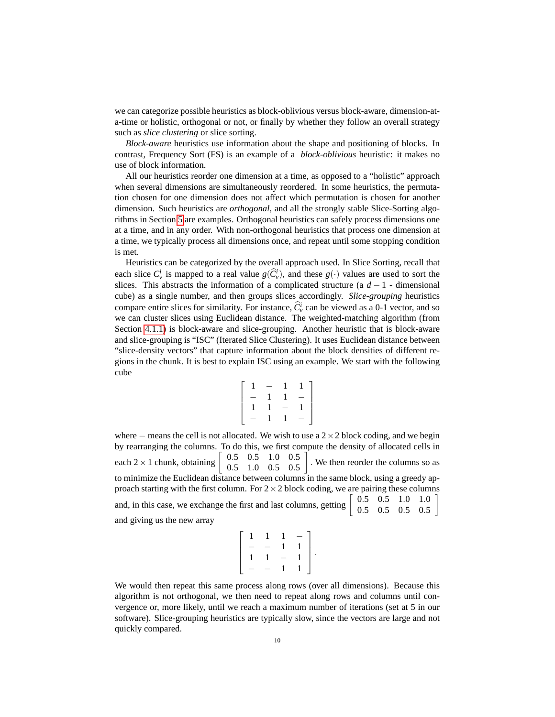we can categorize possible heuristics as block-oblivious versus block-aware, dimension-ata-time or holistic, orthogonal or not, or finally by whether they follow an overall strategy such as *slice clustering* or slice sorting.

*Block-aware* heuristics use information about the shape and positioning of blocks. In contrast, Frequency Sort (FS) is an example of a *block-oblivious* heuristic: it makes no use of block information.

All our heuristics reorder one dimension at a time, as opposed to a "holistic" approach when several dimensions are simultaneously reordered. In some heuristics, the permutation chosen for one dimension does not affect which permutation is chosen for another dimension. Such heuristics are *orthogonal*, and all the strongly stable Slice-Sorting algorithms in Section [5](#page-6-0) are examples. Orthogonal heuristics can safely process dimensions one at a time, and in any order. With non-orthogonal heuristics that process one dimension at a time, we typically process all dimensions once, and repeat until some stopping condition is met.

Heuristics can be categorized by the overall approach used. In Slice Sorting, recall that each slice  $C_v^i$  is mapped to a real value  $g(\widehat{C}_v^i)$ , and these  $g(\cdot)$  values are used to sort the slices. This abstracts the information of a complicated structure (a *d* − 1 - dimensional cube) as a single number, and then groups slices accordingly. *Slice-grouping* heuristics compare entire slices for similarity. For instance,  $\hat{C}_v^i$  can be viewed as a 0-1 vector, and so we can cluster slices using Euclidean distance. The weighted-matching algorithm (from Section [4.1.1\)](#page-5-1) is block-aware and slice-grouping. Another heuristic that is block-aware and slice-grouping is "ISC" (Iterated Slice Clustering). It uses Euclidean distance between "slice-density vectors" that capture information about the block densities of different regions in the chunk. It is best to explain ISC using an example. We start with the following cube

$$
\left[\begin{array}{rrrrr} 1 & - & 1 & 1 \\ - & 1 & 1 & - \\ 1 & 1 & - & 1 \\ - & 1 & 1 & - \end{array}\right]
$$

where – means the cell is not allocated. We wish to use a  $2 \times 2$  block coding, and we begin by rearranging the columns. To do this, we first compute the density of allocated cells in each  $2 \times 1$  chunk, obtaining 0.5 0.5 1.0 0.5 0.5 1.0 0.5 0.5 . We then reorder the columns so as to minimize the Euclidean distance between columns in the same block, using a greedy approach starting with the first column. For  $2 \times 2$  block coding, we are pairing these columns and, in this case, we exchange the first and last columns, getting  $\begin{bmatrix} 0.5 & 0.5 & 1.0 & 1.0 \\ 0.5 & 0.5 & 0.5 & 0.5 \end{bmatrix}$ 0.5 0.5 0.5 0.5 1 and giving us the new array

| $\mathbf{1}$             | 1.                       | $\mathbf{1}$             | $\overline{\phantom{0}}$ |    |
|--------------------------|--------------------------|--------------------------|--------------------------|----|
| $\overline{\phantom{0}}$ |                          | 1                        |                          |    |
| $\mathbf{1}$             | 1                        | $\overline{\phantom{0}}$ |                          | Ĵ. |
| $\equiv$                 | $\overline{\phantom{0}}$ | $\mathbf{1}$             |                          |    |
|                          |                          |                          |                          |    |

We would then repeat this same process along rows (over all dimensions). Because this algorithm is not orthogonal, we then need to repeat along rows and columns until convergence or, more likely, until we reach a maximum number of iterations (set at 5 in our software). Slice-grouping heuristics are typically slow, since the vectors are large and not quickly compared.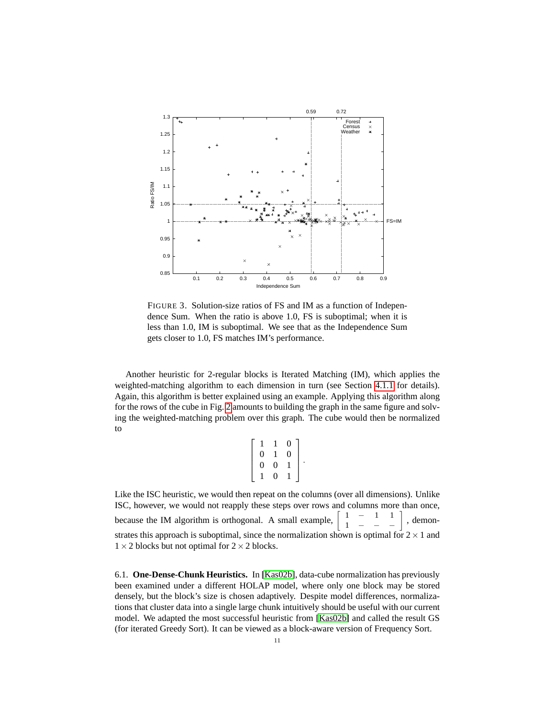

<span id="page-10-0"></span>FIGURE 3. Solution-size ratios of FS and IM as a function of Independence Sum. When the ratio is above 1.0, FS is suboptimal; when it is less than 1.0, IM is suboptimal. We see that as the Independence Sum gets closer to 1.0, FS matches IM's performance.

Another heuristic for 2-regular blocks is Iterated Matching (IM), which applies the weighted-matching algorithm to each dimension in turn (see Section [4.1.1](#page-5-1) for details). Again, this algorithm is better explained using an example. Applying this algorithm along for the rows of the cube in Fig. [2](#page-6-1) amounts to building the graph in the same figure and solving the weighted-matching problem over this graph. The cube would then be normalized to

$$
\left[\begin{array}{rrr} 1 & 1 & 0 \\ 0 & 1 & 0 \\ 0 & 0 & 1 \\ 1 & 0 & 1 \end{array}\right].
$$

Like the ISC heuristic, we would then repeat on the columns (over all dimensions). Unlike ISC, however, we would not reapply these steps over rows and columns more than once, because the IM algorithm is orthogonal. A small example,  $\begin{bmatrix} 1 & - & 1 & 1 \\ 1 & - & - & - \end{bmatrix}$ , demonstrates this approach is suboptimal, since the normalization shown is optimal for  $2 \times 1$  and  $1 \times 2$  blocks but not optimal for  $2 \times 2$  blocks.

6.1. **One-Dense-Chunk Heuristics.** In [\[Kas02b\]](#page-13-7), data-cube normalization has previously been examined under a different HOLAP model, where only one block may be stored densely, but the block's size is chosen adaptively. Despite model differences, normalizations that cluster data into a single large chunk intuitively should be useful with our current model. We adapted the most successful heuristic from [\[Kas02b\]](#page-13-7) and called the result GS (for iterated Greedy Sort). It can be viewed as a block-aware version of Frequency Sort.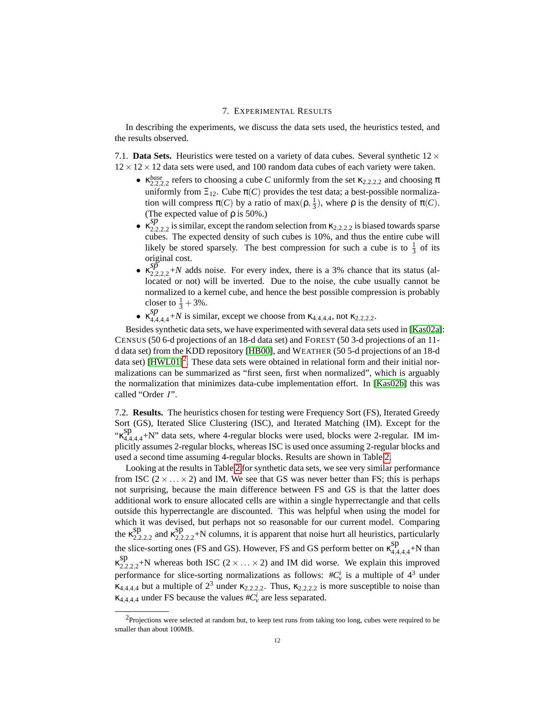#### 7. EXPERIMENTAL RESULTS

<span id="page-11-0"></span>In describing the experiments, we discuss the data sets used, the heuristics tested, and the results observed.

7.1. **Data Sets.** Heuristics were tested on a variety of data cubes. Several synthetic  $12 \times$  $12 \times 12 \times 12$  data sets were used, and 100 random data cubes of each variety were taken.

- $\kappa_{2,2,2,2}^{base}$  refers to choosing a cube *C* uniformly from the set  $\kappa_{2,2,2,2}$  and choosing  $\pi$ uniformly from  $\Xi_{12}$ . Cube  $\pi(C)$  provides the test data; a best-possible normalization will compress  $\pi(C)$  by a ratio of max $(\rho, \frac{1}{3})$ , where  $\rho$  is the density of  $\pi(C)$ . (The expected value of  $\rho$  is 50%.)
- $\kappa_{2,2,2,2}^{sp}$  is similar, except the random selection from  $\kappa_{2,2,2,2}$  is biased towards sparse cubes. The expected density of such cubes is 10%, and thus the entire cube will likely be stored sparsely. The best compression for such a cube is to  $\frac{1}{3}$  of its original cost.
- $\kappa_{2,2,2,2}^{5p}$  +N adds noise. For every index, there is a 3% chance that its status (allocated or not) will be inverted. Due to the noise, the cube usually cannot be normalized to a kernel cube, and hence the best possible compression is probably closer to  $\frac{1}{3} + 3\%$ .
- $\kappa_{4,4,4,4}^{sp}$  is similar, except we choose from  $\kappa_{4,4,4,4}$ , not  $\kappa_{2,2,2,2}$ .

Besides synthetic data sets, we have experimented with several data sets used in [\[Kas02a\]](#page-13-20): CENSUS (50 6-d projections of an 18-d data set) and FOREST (50 3-d projections of an 11 d data set) from the KDD repository [\[HB00\]](#page-13-21), and WEATHER (50 5-d projections of an 18-d data set)  $[HWLO1]^2$  $[HWLO1]^2$ . These data sets were obtained in relational form and their initial normalizations can be summarized as "first seen, first when normalized", which is arguably the normalization that minimizes data-cube implementation effort. In [\[Kas02b\]](#page-13-7) this was called "Order I".

7.2. **Results.** The heuristics chosen for testing were Frequency Sort (FS), Iterated Greedy Sort (GS), Iterated Slice Clustering (ISC), and Iterated Matching (IM). Except for the "κ sp  $^{3P}_{4,4,4,4}$ +N" data sets, where 4-regular blocks were used, blocks were 2-regular. IM implicitly assumes 2-regular blocks, whereas ISC is used once assuming 2-regular blocks and used a second time assuming 4-regular blocks. Results are shown in Table [2.](#page-8-2)

Looking at the results in Table [2](#page-8-2) for synthetic data sets, we see very similar performance from ISC ( $2 \times \ldots \times 2$ ) and IM. We see that GS was never better than FS; this is perhaps not surprising, because the main difference between FS and GS is that the latter does additional work to ensure allocated cells are within a single hyperrectangle and that cells outside this hyperrectangle are discounted. This was helpful when using the model for which it was devised, but perhaps not so reasonable for our current model. Comparing the  $\kappa_2^{sp}$ sp sp and  $\kappa_{2,2}^{sp}$  $22222+$ N columns, it is apparent that noise hurt all heuristics, particularly the slice-sorting ones (FS and GS). However, FS and GS perform better on  $\kappa_{44}^{sp}$  $^{8P}_{4,4,4,4}$ +N than κ sp  $22222+$ N whereas both ISC (2 × ... × 2) and IM did worse. We explain this improved performance for slice-sorting normalizations as follows:  $\#C_v^i$  is a multiple of  $4^3$  under  $\kappa_{4,4,4,4}$  but a multiple of  $2^3$  under  $\kappa_{2,2,2,2}$ . Thus,  $\kappa_{2,2,2,2}$  is more susceptible to noise than  $\kappa_{4,4,4,4}$  under FS because the values  $\#C_v^i$  are less separated.

<span id="page-11-1"></span> $2$ Projections were selected at random but, to keep test runs from taking too long, cubes were required to be smaller than about 100MB.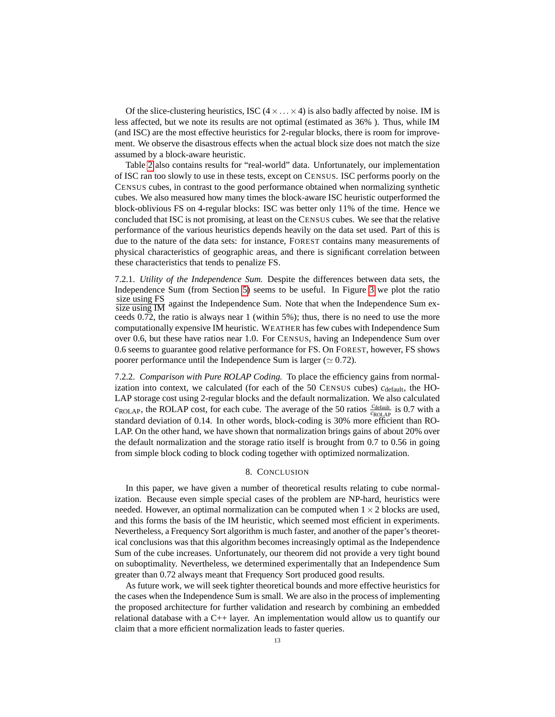Of the slice-clustering heuristics, ISC  $(4 \times \ldots \times 4)$  is also badly affected by noise. IM is less affected, but we note its results are not optimal (estimated as 36% ). Thus, while IM (and ISC) are the most effective heuristics for 2-regular blocks, there is room for improvement. We observe the disastrous effects when the actual block size does not match the size assumed by a block-aware heuristic.

Table [2](#page-8-2) also contains results for "real-world" data. Unfortunately, our implementation of ISC ran too slowly to use in these tests, except on CENSUS. ISC performs poorly on the CENSUS cubes, in contrast to the good performance obtained when normalizing synthetic cubes. We also measured how many times the block-aware ISC heuristic outperformed the block-oblivious FS on 4-regular blocks: ISC was better only 11% of the time. Hence we concluded that ISC is not promising, at least on the CENSUS cubes. We see that the relative performance of the various heuristics depends heavily on the data set used. Part of this is due to the nature of the data sets: for instance, FOREST contains many measurements of physical characteristics of geographic areas, and there is significant correlation between these characteristics that tends to penalize FS.

7.2.1. *Utility of the Independence Sum.* Despite the differences between data sets, the Independence Sum (from Section [5\)](#page-6-0) seems to be useful. In Figure [3](#page-10-0) we plot the ratio size using FS size using IM against the Independence Sum. Note that when the Independence Sum exceeds 0.72, the ratio is always near 1 (within 5%); thus, there is no need to use the more computationally expensive IM heuristic. WEATHER has few cubes with Independence Sum over 0.6, but these have ratios near 1.0. For CENSUS, having an Independence Sum over 0.6 seems to guarantee good relative performance for FS. On FOREST, however, FS shows poorer performance until the Independence Sum is larger ( $\simeq 0.72$ ).

7.2.2. *Comparison with Pure ROLAP Coding.* To place the efficiency gains from normalization into context, we calculated (for each of the 50 CENSUS cubes)  $c_{\text{default}}$ , the HO-LAP storage cost using 2-regular blocks and the default normalization. We also calculated  $c_{\text{ROLAP}}$ , the ROLAP cost, for each cube. The average of the 50 ratios  $\frac{c_{\text{default}}}{c_{\text{ROLAP}}}$  is 0.7 with a standard deviation of 0.14. In other words, block-coding is 30% more efficient than RO-LAP. On the other hand, we have shown that normalization brings gains of about 20% over the default normalization and the storage ratio itself is brought from 0.7 to 0.56 in going from simple block coding to block coding together with optimized normalization.

## 8. CONCLUSION

<span id="page-12-0"></span>In this paper, we have given a number of theoretical results relating to cube normalization. Because even simple special cases of the problem are NP-hard, heuristics were needed. However, an optimal normalization can be computed when  $1 \times 2$  blocks are used, and this forms the basis of the IM heuristic, which seemed most efficient in experiments. Nevertheless, a Frequency Sort algorithm is much faster, and another of the paper's theoretical conclusions was that this algorithm becomes increasingly optimal as the Independence Sum of the cube increases. Unfortunately, our theorem did not provide a very tight bound on suboptimality. Nevertheless, we determined experimentally that an Independence Sum greater than 0.72 always meant that Frequency Sort produced good results.

As future work, we will seek tighter theoretical bounds and more effective heuristics for the cases when the Independence Sum is small. We are also in the process of implementing the proposed architecture for further validation and research by combining an embedded relational database with a C++ layer. An implementation would allow us to quantify our claim that a more efficient normalization leads to faster queries.